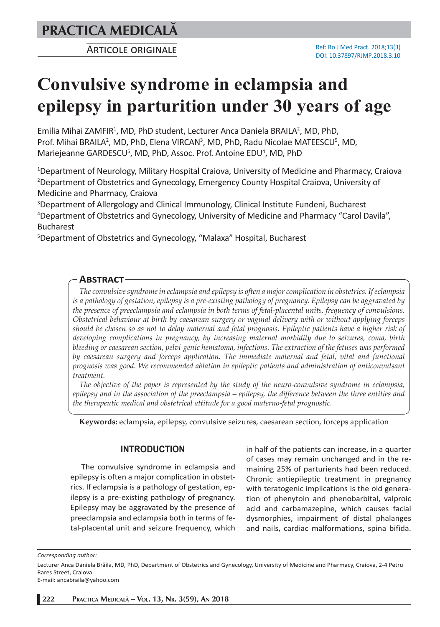ARTICOLE ORIGINALE

# **Convulsive syndrome in eclampsia and epilepsy in parturition under 30 years of age**

Emilia Mihai ZAMFIR<sup>1</sup>, MD, PhD student, Lecturer Anca Daniela BRAILA<sup>2</sup>, MD, PhD, Prof. Mihai BRAILA<sup>2</sup>, MD, PhD, Elena VIRCAN<sup>3</sup>, MD, PhD, Radu Nicolae MATEESCU<sup>5</sup>, MD, Mariejeanne GARDESCU<sup>5</sup>, MD, PhD, Assoc. Prof. Antoine EDU<sup>4</sup>, MD, PhD

1 Department of Neurology, Military Hospital Craiova, University of Medicine and Pharmacy, Craiova 2 Department of Obstetrics and Gynecology, Emergency County Hospital Craiova, University of Medicine and Pharmacy, Craiova

3 Department of Allergology and Clinical Immunology, Clinical Institute Fundeni, Bucharest 4 Department of Obstetrics and Gynecology, University of Medicine and Pharmacy "Carol Davila", Bucharest

5 Department of Obstetrics and Gynecology, "Malaxa" Hospital, Bucharest

# **ABSTRACT**

*The convulsive syndrome in eclampsia and epilepsy is often a major complication in obstetrics. If eclampsia is a pathology of gestation, epilepsy is a pre-existing pathology of pregnancy. Epilepsy can be aggravated by the presence of preeclampsia and eclampsia in both terms of fetal-placental units, frequency of convulsions. Obstetrical behaviour at birth by caesarean surgery or vaginal delivery with or without applying forceps should be chosen so as not to delay maternal and fetal prognosis. Epileptic patients have a higher risk of developing complications in pregnancy, by increasing maternal morbidity due to seizures, coma, birth bleeding or caesarean section, pelvi-genic hematoma, infections. The extraction of the fetuses was performed by caesarean surgery and forceps application. The immediate maternal and fetal, vital and functional prognosis was good. We recommended ablation in epileptic patients and administration of anticonvulsant treatment.*

*The objective of the paper is represented by the study of the neuro-convulsive syndrome in eclampsia, epilepsy and in the association of the preeclampsia – epilepsy, the difference between the three entities and the therapeutic medical and obstetrical attitude for a good materno-fetal prognostic.*

**Keywords:** eclampsia, epilepsy, convulsive seizures, caesarean section, forceps application

## **INTRODUCTION**

The convulsive syndrome in eclampsia and epilepsy is often a major complication in obstetrics. If eclampsia is a pathology of gestation, epilepsy is a pre-existing pathology of pregnancy. Epilepsy may be aggravated by the presence of preeclampsia and eclampsia both in terms of fetal-placental unit and seizure frequency, which in half of the patients can increase, in a quarter of cases may remain unchanged and in the remaining 25% of parturients had been reduced. Chronic antiepileptic treatment in pregnancy with teratogenic implications is the old generation of phenytoin and phenobarbital, valproic acid and carbamazepine, which causes facial dysmorphies, impairment of distal phalanges and nails, cardiac malformations, spina bifida.

*Corresponding author:* 

Lecturer Anca Daniela Brăila, MD, PhD, Department of Obstetrics and Gynecology, University of Medicine and Pharmacy, Craiova, 2-4 Petru Rares Street, Craiova

E-mail: ancabraila@yahoo.com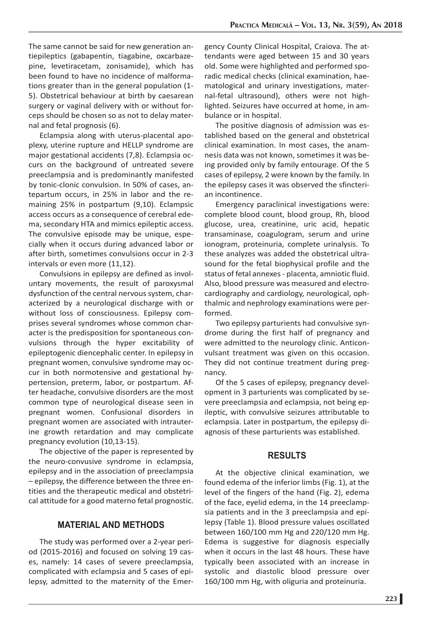The same cannot be said for new generation antiepileptics (gabapentin, tiagabine, oxcarbazepine, levetiracetam, zonisamide), which has been found to have no incidence of malformations greater than in the general population (1- 5). Obstetrical behaviour at birth by caesarean surgery or vaginal delivery with or without forceps should be chosen so as not to delay maternal and fetal prognosis (6).

Eclampsia along with uterus-placental apoplexy, uterine rupture and HELLP syndrome are major gestational accidents (7,8). Eclampsia occurs on the background of untreated severe preeclampsia and is predominantly manifested by tonic-clonic convulsion. In 50% of cases, antepartum occurs, in 25% in labor and the remaining 25% in postpartum (9,10). Eclampsic access occurs as a consequence of cerebral edema, secondary HTA and mimics epileptic access. The convulsive episode may be unique, especially when it occurs during advanced labor or after birth, sometimes convulsions occur in 2-3 intervals or even more (11,12).

Convulsions in epilepsy are defined as involuntary movements, the result of paroxysmal dysfunction of the central nervous system, characterized by a neurological discharge with or without loss of consciousness. Epilepsy comprises several syndromes whose common character is the predisposition for spontaneous convulsions through the hyper excitability of epileptogenic diencephalic center. In epilepsy in pregnant women, convulsive syndrome may occur in both normotensive and gestational hypertension, preterm, labor, or postpartum. After headache, convulsive disorders are the most common type of neurological disease seen in pregnant women. Confusional disorders in pregnant women are associated with intrauterine growth retardation and may complicate pregnancy evolution (10,13-15).

The objective of the paper is represented by the neuro-convusive syndrome in eclampsia, epilepsy and in the association of preeclampsia – epilepsy, the difference between the three entities and the therapeutic medical and obstetrical attitude for a good materno fetal prognostic.

# **MATERIAL AND METHODS**

The study was performed over a 2-year period (2015-2016) and focused on solving 19 cases, namely: 14 cases of severe preeclampsia, complicated with eclampsia and 5 cases of epilepsy, admitted to the maternity of the Emer-

gency County Clinical Hospital, Craiova. The attendants were aged between 15 and 30 years old. Some were highlighted and performed sporadic medical checks (clinical examination, haematological and urinary investigations, maternal-fetal ultrasound), others were not highlighted. Seizures have occurred at home, in ambulance or in hospital.

The positive diagnosis of admission was established based on the general and obstetrical clinical examination. In most cases, the anamnesis data was not known, sometimes it was being provided only by family entourage. Of the 5 cases of epilepsy, 2 were known by the family. In the epilepsy cases it was observed the sfincterian incontinence.

Emergency paraclinical investigations were: complete blood count, blood group, Rh, blood glucose, urea, creatinine, uric acid, hepatic transaminase, coagulogram, serum and urine ionogram, proteinuria, complete urinalysis. To these analyzes was added the obstetrical ultrasound for the fetal biophysical profile and the status of fetal annexes - placenta, amniotic fluid. Also, blood pressure was measured and electrocardiography and cardiology, neurological, ophthalmic and nephrology examinations were performed.

Two epilepsy parturients had convulsive syndrome during the first half of pregnancy and were admitted to the neurology clinic. Anticonvulsant treatment was given on this occasion. They did not continue treatment during pregnancy.

Of the 5 cases of epilepsy, pregnancy development in 3 parturients was complicated by severe preeclampsia and eclampsia, not being epileptic, with convulsive seizures attributable to eclampsia. Later in postpartum, the epilepsy diagnosis of these parturients was established.

#### **RESULTS**

At the objective clinical examination, we found edema of the inferior limbs (Fig. 1), at the level of the fingers of the hand (Fig. 2), edema of the face, eyelid edema, in the 14 preeclampsia patients and in the 3 preeclampsia and epilepsy (Table 1). Blood pressure values oscillated between 160/100 mm Hg and 220/120 mm Hg. Edema is suggestive for diagnosis especially when it occurs in the last 48 hours. These have typically been associated with an increase in systolic and diastolic blood pressure over 160/100 mm Hg, with oliguria and proteinuria.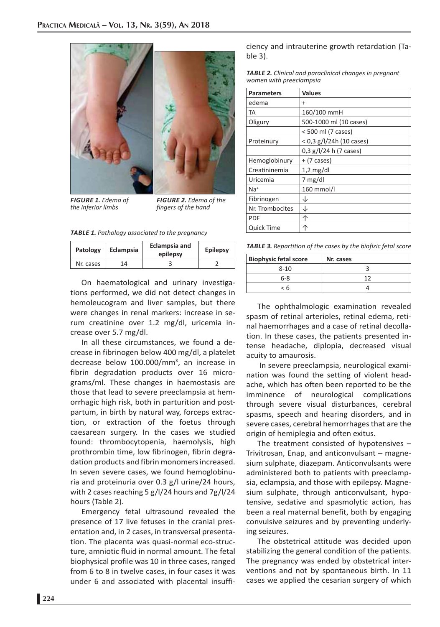



*FIGURE 1. Edema of the inferior limbs* 

*FIGURE 2. Edema of the fingers of the hand* 

*TABLE 1. Pathology associated to the pregnancy*

| Patology  | Eclampsia | <b>Eclampsia and</b><br>epilepsy | <b>Epilepsy</b> |
|-----------|-----------|----------------------------------|-----------------|
| Nr. cases | 1 /1      |                                  |                 |

On haematological and urinary investigations performed, we did not detect changes in hemoleucogram and liver samples, but there were changes in renal markers: increase in serum creatinine over 1.2 mg/dl, uricemia increase over 5.7 mg/dl.

In all these circumstances, we found a decrease in fibrinogen below 400 mg/dl, a platelet decrease below 100.000/mm<sup>3</sup>, an increase in fibrin degradation products over 16 micrograms/ml. These changes in haemostasis are those that lead to severe preeclampsia at hemorrhagic high risk, both in parturition and postpartum, in birth by natural way, forceps extraction, or extraction of the foetus through caesarean surgery. In the cases we studied found: thrombocytopenia, haemolysis, high prothrombin time, low fibrinogen, fibrin degradation products and fibrin monomers increased. In seven severe cases, we found hemoglobinuria and proteinuria over 0.3 g/l urine/24 hours, with 2 cases reaching 5 g/l/24 hours and 7g/l/24 hours (Table 2).

Emergency fetal ultrasound revealed the presence of 17 live fetuses in the cranial presentation and, in 2 cases, in transversal presentation. The placenta was quasi-normal eco-structure, amniotic fluid in normal amount. The fetal biophysical profile was 10 in three cases, ranged from 6 to 8 in twelve cases, in four cases it was under 6 and associated with placental insufficiency and intrauterine growth retardation (Table 3).

|                         |  |  | <b>TABLE 2.</b> Clinical and paraclinical changes in pregnant |  |
|-------------------------|--|--|---------------------------------------------------------------|--|
| women with preeclampsia |  |  |                                                               |  |

| <b>Parameters</b> | <b>Values</b>              |
|-------------------|----------------------------|
| edema             | $\ddot{}$                  |
| TA                | 160/100 mmH                |
| Oligury           | 500-1000 ml (10 cases)     |
|                   | < 500 ml (7 cases)         |
| Proteinury        | $<$ 0,3 g/l/24h (10 cases) |
|                   | $0,3$ g/l/24 h (7 cases)   |
| Hemoglobinury     | $+$ (7 cases)              |
| Creatininemia     | $1,2$ mg/dl                |
| Uricemia          | 7 mg/dl                    |
| $Na+$             | 160 mmol/l                 |
| Fibrinogen        | ↓                          |
| Nr. Trombocites   | ↓                          |
| PDF               | 个                          |
| Quick Time        |                            |

*TABLE 3. Repartition of the cases by the biofizic fetal score*

| <b>Biophysic fetal score</b> | Nr. cases |  |  |
|------------------------------|-----------|--|--|
| $8 - 10$                     |           |  |  |
| $6 - 8$                      | 17        |  |  |
| < 6                          |           |  |  |

The ophthalmologic examination revealed spasm of retinal arterioles, retinal edema, retinal haemorrhages and a case of retinal decollation. In these cases, the patients presented intense headache, diplopia, decreased visual acuity to amaurosis.

In severe preeclampsia, neurological examination was found the setting of violent headache, which has often been reported to be the imminence of neurological complications through severe visual disturbances, cerebral spasms, speech and hearing disorders, and in severe cases, cerebral hemorrhages that are the origin of hemiplegia and often exitus.

The treatment consisted of hypotensives – Trivitrosan, Enap, and anticonvulsant – magnesium sulphate, diazepam. Anticonvulsants were administered both to patients with preeclampsia, eclampsia, and those with epilepsy. Magnesium sulphate, through anticonvulsant, hypotensive, sedative and spasmolytic action, has been a real maternal benefit, both by engaging convulsive seizures and by preventing underlying seizures.

The obstetrical attitude was decided upon stabilizing the general condition of the patients. The pregnancy was ended by obstetrical interventions and not by spontaneous birth. In 11 cases we applied the cesarian surgery of which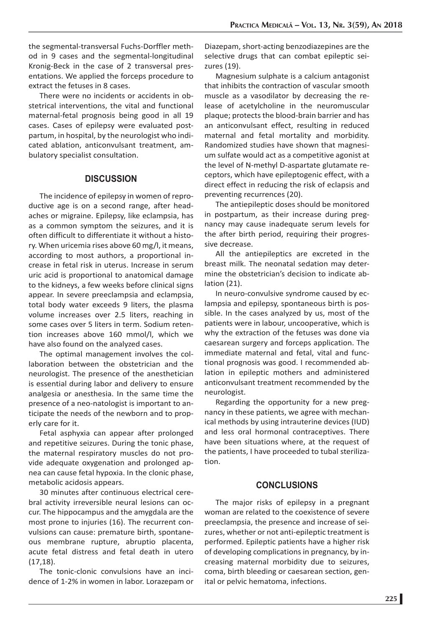the segmental-transversal Fuchs-Dorffler method in 9 cases and the segmental-longitudinal Kronig-Beck in the case of 2 transversal presentations. We applied the forceps procedure to extract the fetuses in 8 cases.

There were no incidents or accidents in obstetrical interventions, the vital and functional maternal-fetal prognosis being good in all 19 cases. Cases of epilepsy were evaluated postpartum, in hospital, by the neurologist who indicated ablation, anticonvulsant treatment, ambulatory specialist consultation.

## **DISCUSSION**

The incidence of epilepsy in women of reproductive age is on a second range, after headaches or migraine. Epilepsy, like eclampsia, has as a common symptom the seizures, and it is often difficult to differentiate it without a history. When uricemia rises above 60 mg/l, it means, according to most authors, a proportional increase in fetal risk in uterus. Increase in serum uric acid is proportional to anatomical damage to the kidneys, a few weeks before clinical signs appear. In severe preeclampsia and eclampsia, total body water exceeds 9 liters, the plasma volume increases over 2.5 liters, reaching in some cases over 5 liters in term. Sodium retention increases above 160 mmol/l, which we have also found on the analyzed cases.

The optimal management involves the collaboration between the obstetrician and the neurologist. The presence of the anesthetician is essential during labor and delivery to ensure analgesia or anesthesia. In the same time the presence of a neo-natologist is important to anticipate the needs of the newborn and to properly care for it.

Fetal asphyxia can appear after prolonged and repetitive seizures. During the tonic phase, the maternal respiratory muscles do not provide adequate oxygenation and prolonged apnea can cause fetal hypoxia. In the clonic phase, metabolic acidosis appears.

30 minutes after continuous electrical cerebral activity irreversible neural lesions can occur. The hippocampus and the amygdala are the most prone to injuries (16). The recurrent convulsions can cause: premature birth, spontaneous membrane rupture, abruptio placenta, acute fetal distress and fetal death in utero (17,18).

The tonic-clonic convulsions have an incidence of 1-2% in women in labor. Lorazepam or Diazepam, short-acting benzodiazepines are the selective drugs that can combat epileptic seizures (19).

Magnesium sulphate is a calcium antagonist that inhibits the contraction of vascular smooth muscle as a vasodilator by decreasing the release of acetylcholine in the neuromuscular plaque; protects the blood-brain barrier and has an anticonvulsant effect, resulting in reduced maternal and fetal mortality and morbidity. Randomized studies have shown that magnesium sulfate would act as a competitive agonist at the level of N-methyl D-aspartate glutamate receptors, which have epileptogenic effect, with a direct effect in reducing the risk of eclapsis and preventing recurrences (20).

The antiepileptic doses should be monitored in postpartum, as their increase during pregnancy may cause inadequate serum levels for the after birth period, requiring their progressive decrease.

All the antiepileptics are excreted in the breast milk. The neonatal sedation may determine the obstetrician's decision to indicate ablation (21).

In neuro-convulsive syndrome caused by eclampsia and epilepsy, spontaneous birth is possible. In the cases analyzed by us, most of the patients were in labour, uncooperative, which is why the extraction of the fetuses was done via caesarean surgery and forceps application. The immediate maternal and fetal, vital and functional prognosis was good. I recommended ablation in epileptic mothers and administered anticonvulsant treatment recommended by the neurologist.

Regarding the opportunity for a new pregnancy in these patients, we agree with mechanical methods by using intrauterine devices (IUD) and less oral hormonal contraceptives. There have been situations where, at the request of the patients, I have proceeded to tubal sterilization.

## **CONCLUSIONS**

The major risks of epilepsy in a pregnant woman are related to the coexistence of severe preeclampsia, the presence and increase of seizures, whether or not anti-epileptic treatment is performed. Epileptic patients have a higher risk of developing complications in pregnancy, by increasing maternal morbidity due to seizures, coma, birth bleeding or caesarean section, genital or pelvic hematoma, infections.